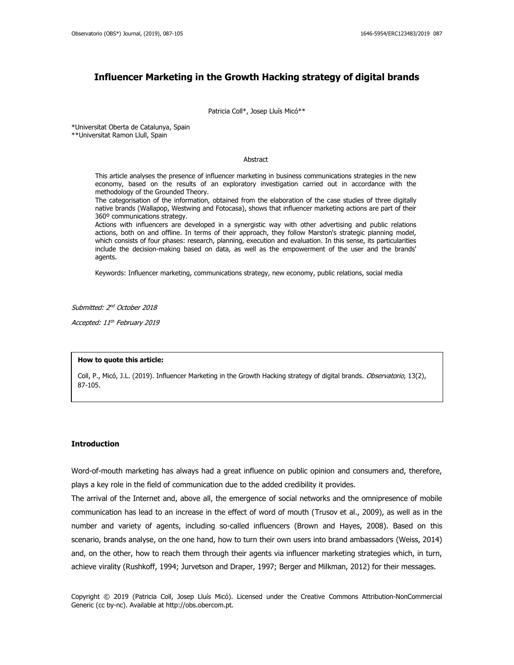# **Influencer Marketing in the Growth Hacking strategy of digital brands**

Patricia Coll\*, Josep Lluís Micó\*\*

\*Universitat Oberta de Catalunya, Spain

\*\*Universitat Ramon Llull, Spain

#### Abstract

This article analyses the presence of influencer marketing in business communications strategies in the new economy, based on the results of an exploratory investigation carried out in accordance with the methodology of the Grounded Theory.

The categorisation of the information, obtained from the elaboration of the case studies of three digitally native brands (Wallapop, Westwing and Fotocasa), shows that influencer marketing actions are part of their 360º communications strategy.

Actions with influencers are developed in a synergistic way with other advertising and public relations actions, both on and offline. In terms of their approach, they follow Marston's strategic planning model, which consists of four phases: research, planning, execution and evaluation. In this sense, its particularities include the decision-making based on data, as well as the empowerment of the user and the brands' agents.

Keywords: Influencer marketing, communications strategy, new economy, public relations, social media

Submitted: 2<sup>nd</sup> October 2018

Accepted: 11th February 2019

#### **How to quote this article:**

Coll, P., Micó, J.L. (2019). Influencer Marketing in the Growth Hacking strategy of digital brands. Observatorio, 13(2), 87-105.

# **Introduction**

Word-of-mouth marketing has always had a great influence on public opinion and consumers and, therefore, plays a key role in the field of communication due to the added credibility it provides.

The arrival of the Internet and, above all, the emergence of social networks and the omnipresence of mobile communication has lead to an increase in the effect of word of mouth (Trusov et al., 2009), as well as in the number and variety of agents, including so-called influencers (Brown and Hayes, 2008). Based on this scenario, brands analyse, on the one hand, how to turn their own users into brand ambassadors (Weiss, 2014) and, on the other, how to reach them through their agents via influencer marketing strategies which, in turn, achieve virality (Rushkoff, 1994; Jurvetson and Draper, 1997; Berger and Milkman, 2012) for their messages.

Copyright © 2019 (Patricia Coll, Josep Lluís Micó). Licensed under the Creative Commons Attribution-NonCommercial Generic (cc by-nc). Available at http://obs.obercom.pt.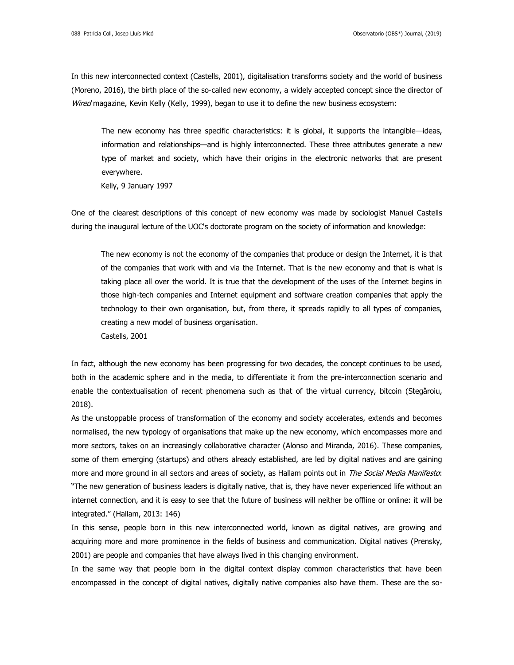In this new interconnected context (Castells, 2001), digitalisation transforms society and the world of business (Moreno, 2016), the birth place of the so-called new economy, a widely accepted concept since the director of Wired magazine, Kevin Kelly (Kelly, 1999), began to use it to define the new business ecosystem:

The new economy has three specific characteristics: it is global, it supports the intangible—ideas, information and relationships—and is highly **i**nterconnected. These three attributes generate a new type of market and society, which have their origins in the electronic networks that are present everywhere.

Kelly, 9 January 1997

One of the clearest descriptions of this concept of new economy was made by sociologist Manuel Castells during the inaugural lecture of the UOC's doctorate program on the society of information and knowledge:

The new economy is not the economy of the companies that produce or design the Internet, it is that of the companies that work with and via the Internet. That is the new economy and that is what is taking place all over the world. It is true that the development of the uses of the Internet begins in those high-tech companies and Internet equipment and software creation companies that apply the technology to their own organisation, but, from there, it spreads rapidly to all types of companies, creating a new model of business organisation. Castells, 2001

In fact, although the new economy has been progressing for two decades, the concept continues to be used, both in the academic sphere and in the media, to differentiate it from the pre-interconnection scenario and enable the contextualisation of recent phenomena such as that of the virtual currency, bitcoin (Stegăroiu, 2018).

As the unstoppable process of transformation of the economy and society accelerates, extends and becomes normalised, the new typology of organisations that make up the new economy, which encompasses more and more sectors, takes on an increasingly collaborative character (Alonso and Miranda, 2016). These companies, some of them emerging (startups) and others already established, are led by digital natives and are gaining more and more ground in all sectors and areas of society, as Hallam points out in The Social Media Manifesto: "The new generation of business leaders is digitally native, that is, they have never experienced life without an internet connection, and it is easy to see that the future of business will neither be offline or online: it will be integrated." (Hallam, 2013: 146)

In this sense, people born in this new interconnected world, known as digital natives, are growing and acquiring more and more prominence in the fields of business and communication. Digital natives (Prensky, 2001) are people and companies that have always lived in this changing environment.

In the same way that people born in the digital context display common characteristics that have been encompassed in the concept of digital natives, digitally native companies also have them. These are the so-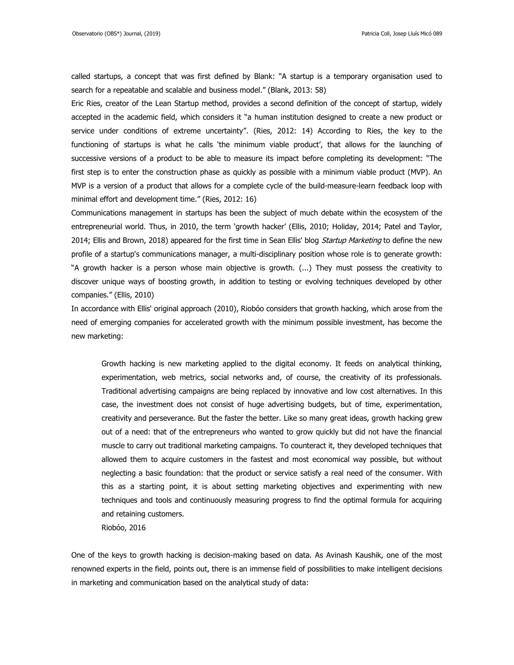Riobóo, 2016

called startups, a concept that was first defined by Blank: "A startup is a temporary organisation used to search for a repeatable and scalable and business model." (Blank, 2013: 58)

Eric Ries, creator of the Lean Startup method, provides a second definition of the concept of startup, widely accepted in the academic field, which considers it "a human institution designed to create a new product or service under conditions of extreme uncertainty". (Ries, 2012: 14) According to Ries, the key to the functioning of startups is what he calls 'the minimum viable product', that allows for the launching of successive versions of a product to be able to measure its impact before completing its development: "The first step is to enter the construction phase as quickly as possible with a minimum viable product (MVP). An MVP is a version of a product that allows for a complete cycle of the build-measure-learn feedback loop with minimal effort and development time." (Ries, 2012: 16)

Communications management in startups has been the subject of much debate within the ecosystem of the entrepreneurial world. Thus, in 2010, the term 'growth hacker' (Ellis, 2010; Holiday, 2014; Patel and Taylor, 2014; Ellis and Brown, 2018) appeared for the first time in Sean Ellis' blog Startup Marketing to define the new profile of a startup's communications manager, a multi-disciplinary position whose role is to generate growth: "A growth hacker is a person whose main objective is growth. (...) They must possess the creativity to discover unique ways of boosting growth, in addition to testing or evolving techniques developed by other companies." (Ellis, 2010)

In accordance with Ellis' original approach (2010), Riobóo considers that growth hacking, which arose from the need of emerging companies for accelerated growth with the minimum possible investment, has become the new marketing:

Growth hacking is new marketing applied to the digital economy. It feeds on analytical thinking, experimentation, web metrics, social networks and, of course, the creativity of its professionals. Traditional advertising campaigns are being replaced by innovative and low cost alternatives. In this case, the investment does not consist of huge advertising budgets, but of time, experimentation, creativity and perseverance. But the faster the better. Like so many great ideas, growth hacking grew out of a need: that of the entrepreneurs who wanted to grow quickly but did not have the financial muscle to carry out traditional marketing campaigns. To counteract it, they developed techniques that allowed them to acquire customers in the fastest and most economical way possible, but without neglecting a basic foundation: that the product or service satisfy a real need of the consumer. With this as a starting point, it is about setting marketing objectives and experimenting with new techniques and tools and continuously measuring progress to find the optimal formula for acquiring and retaining customers.

One of the keys to growth hacking is decision-making based on data. As Avinash Kaushik, one of the most renowned experts in the field, points out, there is an immense field of possibilities to make intelligent decisions in marketing and communication based on the analytical study of data: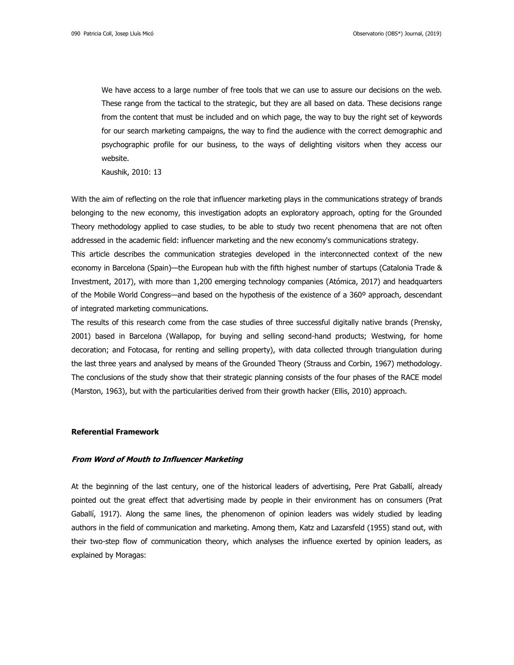We have access to a large number of free tools that we can use to assure our decisions on the web. These range from the tactical to the strategic, but they are all based on data. These decisions range from the content that must be included and on which page, the way to buy the right set of keywords for our search marketing campaigns, the way to find the audience with the correct demographic and psychographic profile for our business, to the ways of delighting visitors when they access our website.

Kaushik, 2010: 13

With the aim of reflecting on the role that influencer marketing plays in the communications strategy of brands belonging to the new economy, this investigation adopts an exploratory approach, opting for the Grounded Theory methodology applied to case studies, to be able to study two recent phenomena that are not often addressed in the academic field: influencer marketing and the new economy's communications strategy.

This article describes the communication strategies developed in the interconnected context of the new economy in Barcelona (Spain)—the European hub with the fifth highest number of startups (Catalonia Trade & Investment, 2017), with more than 1,200 emerging technology companies (Atómica, 2017) and headquarters of the Mobile World Congress—and based on the hypothesis of the existence of a 360º approach, descendant of integrated marketing communications.

The results of this research come from the case studies of three successful digitally native brands (Prensky, 2001) based in Barcelona (Wallapop, for buying and selling second-hand products; Westwing, for home decoration; and Fotocasa, for renting and selling property), with data collected through triangulation during the last three years and analysed by means of the Grounded Theory (Strauss and Corbin, 1967) methodology. The conclusions of the study show that their strategic planning consists of the four phases of the RACE model (Marston, 1963), but with the particularities derived from their growth hacker (Ellis, 2010) approach.

#### **Referential Framework**

## **From Word of Mouth to Influencer Marketing**

At the beginning of the last century, one of the historical leaders of advertising, Pere Prat Gaballí, already pointed out the great effect that advertising made by people in their environment has on consumers (Prat Gaballí, 1917). Along the same lines, the phenomenon of opinion leaders was widely studied by leading authors in the field of communication and marketing. Among them, Katz and Lazarsfeld (1955) stand out, with their two-step flow of communication theory, which analyses the influence exerted by opinion leaders, as explained by Moragas: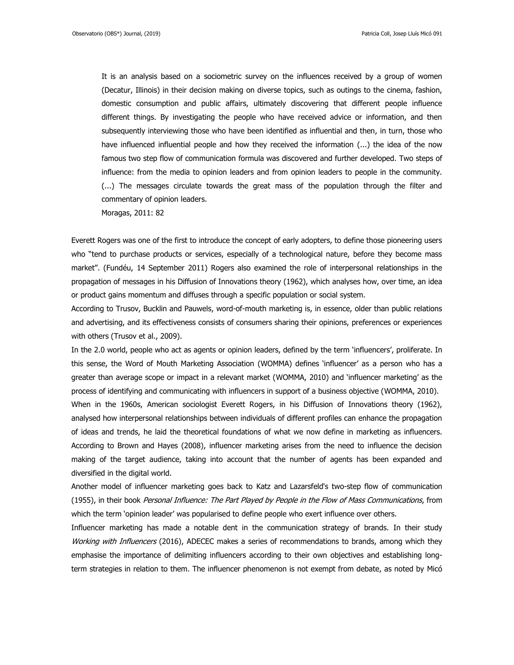It is an analysis based on a sociometric survey on the influences received by a group of women (Decatur, Illinois) in their decision making on diverse topics, such as outings to the cinema, fashion, domestic consumption and public affairs, ultimately discovering that different people influence different things. By investigating the people who have received advice or information, and then subsequently interviewing those who have been identified as influential and then, in turn, those who have influenced influential people and how they received the information  $(...)$  the idea of the now famous two step flow of communication formula was discovered and further developed. Two steps of influence: from the media to opinion leaders and from opinion leaders to people in the community. (...) The messages circulate towards the great mass of the population through the filter and commentary of opinion leaders.

Moragas, 2011: 82

Everett Rogers was one of the first to introduce the concept of early adopters, to define those pioneering users who "tend to purchase products or services, especially of a technological nature, before they become mass market". (Fundéu, 14 September 2011) Rogers also examined the role of interpersonal relationships in the propagation of messages in his Diffusion of Innovations theory (1962), which analyses how, over time, an idea or product gains momentum and diffuses through a specific population or social system.

According to Trusov, Bucklin and Pauwels, word-of-mouth marketing is, in essence, older than public relations and advertising, and its effectiveness consists of consumers sharing their opinions, preferences or experiences with others (Trusov et al., 2009).

In the 2.0 world, people who act as agents or opinion leaders, defined by the term 'influencers', proliferate. In this sense, the Word of Mouth Marketing Association (WOMMA) defines 'influencer' as a person who has a greater than average scope or impact in a relevant market (WOMMA, 2010) and 'influencer marketing' as the process of identifying and communicating with influencers in support of a business objective (WOMMA, 2010). When in the 1960s, American sociologist Everett Rogers, in his Diffusion of Innovations theory (1962), analysed how interpersonal relationships between individuals of different profiles can enhance the propagation of ideas and trends, he laid the theoretical foundations of what we now define in marketing as influencers. According to Brown and Hayes (2008), influencer marketing arises from the need to influence the decision making of the target audience, taking into account that the number of agents has been expanded and diversified in the digital world.

Another model of influencer marketing goes back to Katz and Lazarsfeld's two-step flow of communication (1955), in their book Personal Influence: The Part Played by People in the Flow of Mass Communications, from which the term 'opinion leader' was popularised to define people who exert influence over others.

Influencer marketing has made a notable dent in the communication strategy of brands. In their study Working with Influencers (2016), ADECEC makes a series of recommendations to brands, among which they emphasise the importance of delimiting influencers according to their own objectives and establishing longterm strategies in relation to them. The influencer phenomenon is not exempt from debate, as noted by Micó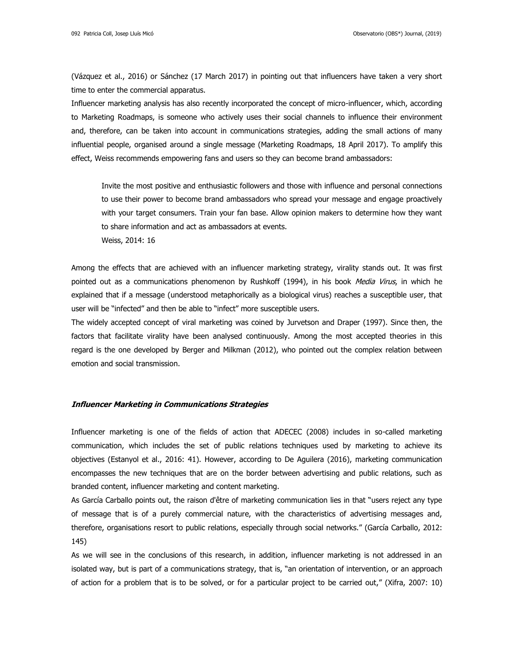(Vázquez et al., 2016) or Sánchez (17 March 2017) in pointing out that influencers have taken a very short time to enter the commercial apparatus.

Influencer marketing analysis has also recently incorporated the concept of micro-influencer, which, according to Marketing Roadmaps, is someone who actively uses their social channels to influence their environment and, therefore, can be taken into account in communications strategies, adding the small actions of many influential people, organised around a single message (Marketing Roadmaps, 18 April 2017). To amplify this effect, Weiss recommends empowering fans and users so they can become brand ambassadors:

Invite the most positive and enthusiastic followers and those with influence and personal connections to use their power to become brand ambassadors who spread your message and engage proactively with your target consumers. Train your fan base. Allow opinion makers to determine how they want to share information and act as ambassadors at events.

Weiss, 2014: 16

Among the effects that are achieved with an influencer marketing strategy, virality stands out. It was first pointed out as a communications phenomenon by Rushkoff (1994), in his book Media Virus, in which he explained that if a message (understood metaphorically as a biological virus) reaches a susceptible user, that user will be "infected" and then be able to "infect" more susceptible users.

The widely accepted concept of viral marketing was coined by Jurvetson and Draper (1997). Since then, the factors that facilitate virality have been analysed continuously. Among the most accepted theories in this regard is the one developed by Berger and Milkman (2012), who pointed out the complex relation between emotion and social transmission.

# **Influencer Marketing in Communications Strategies**

Influencer marketing is one of the fields of action that ADECEC (2008) includes in so-called marketing communication, which includes the set of public relations techniques used by marketing to achieve its objectives (Estanyol et al., 2016: 41). However, according to De Aguilera (2016), marketing communication encompasses the new techniques that are on the border between advertising and public relations, such as branded content, influencer marketing and content marketing.

As García Carballo points out, the raison d'être of marketing communication lies in that "users reject any type of message that is of a purely commercial nature, with the characteristics of advertising messages and, therefore, organisations resort to public relations, especially through social networks." (García Carballo, 2012: 145)

As we will see in the conclusions of this research, in addition, influencer marketing is not addressed in an isolated way, but is part of a communications strategy, that is, "an orientation of intervention, or an approach of action for a problem that is to be solved, or for a particular project to be carried out," (Xifra, 2007: 10)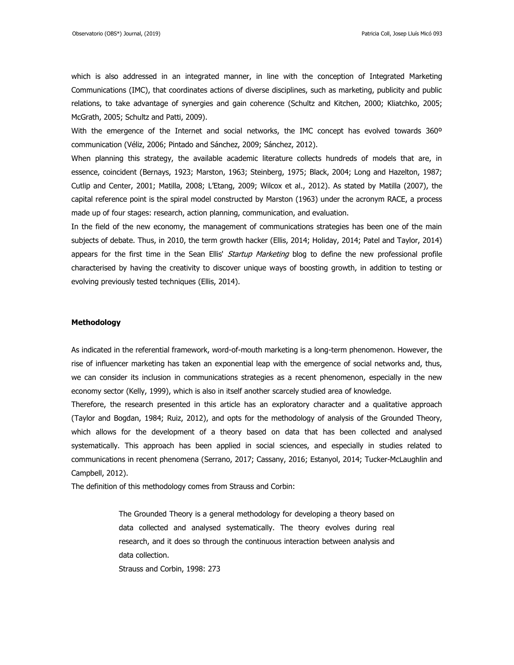which is also addressed in an integrated manner, in line with the conception of Integrated Marketing Communications (IMC), that coordinates actions of diverse disciplines, such as marketing, publicity and public relations, to take advantage of synergies and gain coherence (Schultz and Kitchen, 2000; Kliatchko, 2005; McGrath, 2005; Schultz and Patti, 2009).

With the emergence of the Internet and social networks, the IMC concept has evolved towards 360<sup>o</sup> communication (Véliz, 2006; Pintado and Sánchez, 2009; Sánchez, 2012).

When planning this strategy, the available academic literature collects hundreds of models that are, in essence, coincident (Bernays, 1923; Marston, 1963; Steinberg, 1975; Black, 2004; Long and Hazelton, 1987; Cutlip and Center, 2001; Matilla, 2008; L'Etang, 2009; Wilcox et al., 2012). As stated by Matilla (2007), the capital reference point is the spiral model constructed by Marston (1963) under the acronym RACE, a process made up of four stages: research, action planning, communication, and evaluation.

In the field of the new economy, the management of communications strategies has been one of the main subjects of debate. Thus, in 2010, the term growth hacker (Ellis, 2014; Holiday, 2014; Patel and Taylor, 2014) appears for the first time in the Sean Ellis' Startup Marketing blog to define the new professional profile characterised by having the creativity to discover unique ways of boosting growth, in addition to testing or evolving previously tested techniques (Ellis, 2014).

## **Methodology**

As indicated in the referential framework, word-of-mouth marketing is a long-term phenomenon. However, the rise of influencer marketing has taken an exponential leap with the emergence of social networks and, thus, we can consider its inclusion in communications strategies as a recent phenomenon, especially in the new economy sector (Kelly, 1999), which is also in itself another scarcely studied area of knowledge.

Therefore, the research presented in this article has an exploratory character and a qualitative approach (Taylor and Bogdan, 1984; Ruiz, 2012), and opts for the methodology of analysis of the Grounded Theory, which allows for the development of a theory based on data that has been collected and analysed systematically. This approach has been applied in social sciences, and especially in studies related to communications in recent phenomena (Serrano, 2017; Cassany, 2016; Estanyol, 2014; Tucker-McLaughlin and Campbell, 2012).

The definition of this methodology comes from Strauss and Corbin:

The Grounded Theory is a general methodology for developing a theory based on data collected and analysed systematically. The theory evolves during real research, and it does so through the continuous interaction between analysis and data collection.

Strauss and Corbin, 1998: 273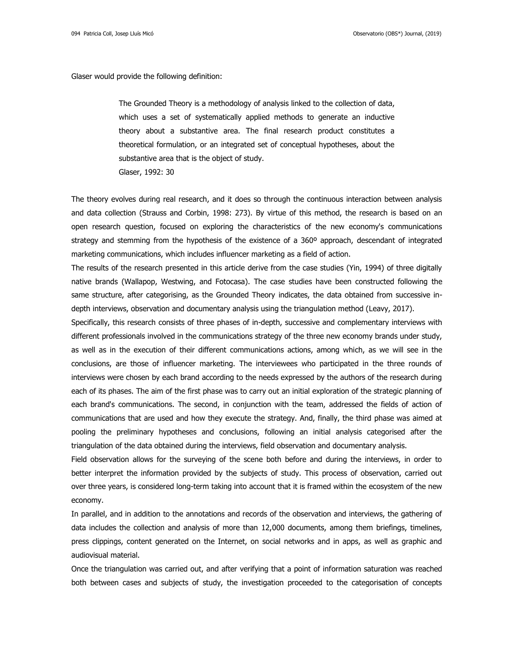Glaser would provide the following definition:

The Grounded Theory is a methodology of analysis linked to the collection of data, which uses a set of systematically applied methods to generate an inductive theory about a substantive area. The final research product constitutes a theoretical formulation, or an integrated set of conceptual hypotheses, about the substantive area that is the object of study. Glaser, 1992: 30

The theory evolves during real research, and it does so through the continuous interaction between analysis and data collection (Strauss and Corbin, 1998: 273). By virtue of this method, the research is based on an open research question, focused on exploring the characteristics of the new economy's communications strategy and stemming from the hypothesis of the existence of a 360° approach, descendant of integrated marketing communications, which includes influencer marketing as a field of action.

The results of the research presented in this article derive from the case studies (Yin, 1994) of three digitally native brands (Wallapop, Westwing, and Fotocasa). The case studies have been constructed following the same structure, after categorising, as the Grounded Theory indicates, the data obtained from successive indepth interviews, observation and documentary analysis using the triangulation method (Leavy, 2017).

Specifically, this research consists of three phases of in-depth, successive and complementary interviews with different professionals involved in the communications strategy of the three new economy brands under study, as well as in the execution of their different communications actions, among which, as we will see in the conclusions, are those of influencer marketing. The interviewees who participated in the three rounds of interviews were chosen by each brand according to the needs expressed by the authors of the research during each of its phases. The aim of the first phase was to carry out an initial exploration of the strategic planning of each brand's communications. The second, in conjunction with the team, addressed the fields of action of communications that are used and how they execute the strategy. And, finally, the third phase was aimed at pooling the preliminary hypotheses and conclusions, following an initial analysis categorised after the triangulation of the data obtained during the interviews, field observation and documentary analysis.

Field observation allows for the surveying of the scene both before and during the interviews, in order to better interpret the information provided by the subjects of study. This process of observation, carried out over three years, is considered long-term taking into account that it is framed within the ecosystem of the new economy.

In parallel, and in addition to the annotations and records of the observation and interviews, the gathering of data includes the collection and analysis of more than 12,000 documents, among them briefings, timelines, press clippings, content generated on the Internet, on social networks and in apps, as well as graphic and audiovisual material.

Once the triangulation was carried out, and after verifying that a point of information saturation was reached both between cases and subjects of study, the investigation proceeded to the categorisation of concepts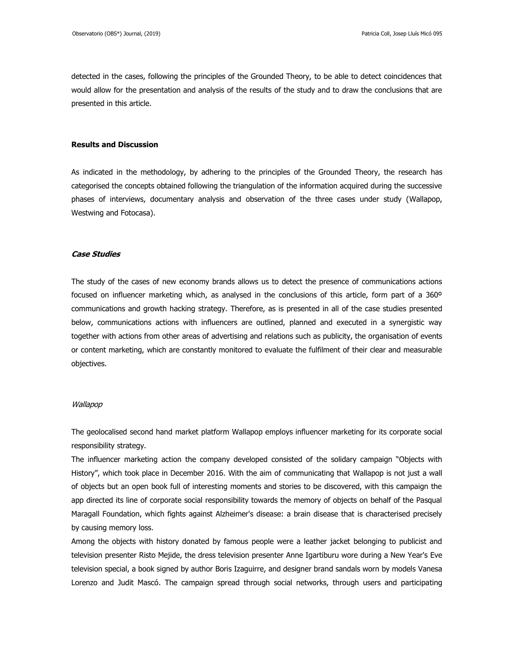detected in the cases, following the principles of the Grounded Theory, to be able to detect coincidences that would allow for the presentation and analysis of the results of the study and to draw the conclusions that are presented in this article.

# **Results and Discussion**

As indicated in the methodology, by adhering to the principles of the Grounded Theory, the research has categorised the concepts obtained following the triangulation of the information acquired during the successive phases of interviews, documentary analysis and observation of the three cases under study (Wallapop, Westwing and Fotocasa).

# **Case Studies**

The study of the cases of new economy brands allows us to detect the presence of communications actions focused on influencer marketing which, as analysed in the conclusions of this article, form part of a 360º communications and growth hacking strategy. Therefore, as is presented in all of the case studies presented below, communications actions with influencers are outlined, planned and executed in a synergistic way together with actions from other areas of advertising and relations such as publicity, the organisation of events or content marketing, which are constantly monitored to evaluate the fulfilment of their clear and measurable objectives.

#### Wallapop

The geolocalised second hand market platform Wallapop employs influencer marketing for its corporate social responsibility strategy.

The influencer marketing action the company developed consisted of the solidary campaign "Objects with History", which took place in December 2016. With the aim of communicating that Wallapop is not just a wall of objects but an open book full of interesting moments and stories to be discovered, with this campaign the app directed its line of corporate social responsibility towards the memory of objects on behalf of the Pasqual Maragall Foundation, which fights against Alzheimer's disease: a brain disease that is characterised precisely by causing memory loss.

Among the objects with history donated by famous people were a leather jacket belonging to publicist and television presenter Risto Mejide, the dress television presenter Anne Igartiburu wore during a New Year's Eve television special, a book signed by author Boris Izaguirre, and designer brand sandals worn by models Vanesa Lorenzo and Judit Mascó. The campaign spread through social networks, through users and participating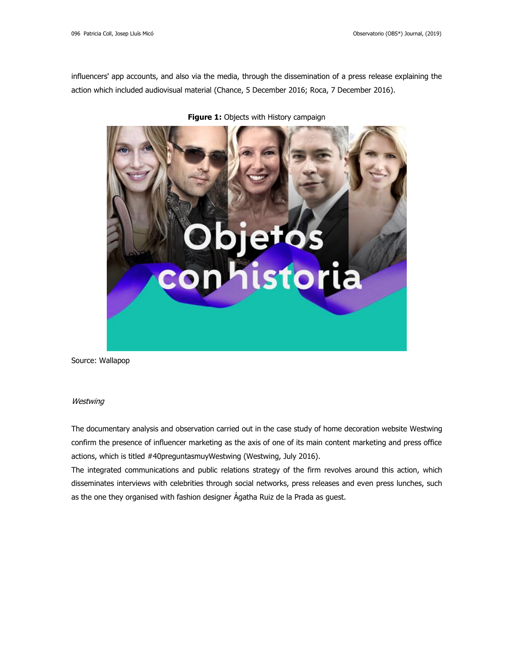influencers' app accounts, and also via the media, through the dissemination of a press release explaining the action which included audiovisual material (Chance, 5 December 2016; Roca, 7 December 2016).



**Figure 1:** Objects with History campaign

Source: Wallapop

# **Westwing**

The documentary analysis and observation carried out in the case study of home decoration website Westwing confirm the presence of influencer marketing as the axis of one of its main content marketing and press office actions, which is titled #40preguntasmuyWestwing (Westwing, July 2016).

The integrated communications and public relations strategy of the firm revolves around this action, which disseminates interviews with celebrities through social networks, press releases and even press lunches, such as the one they organised with fashion designer Ágatha Ruiz de la Prada as guest.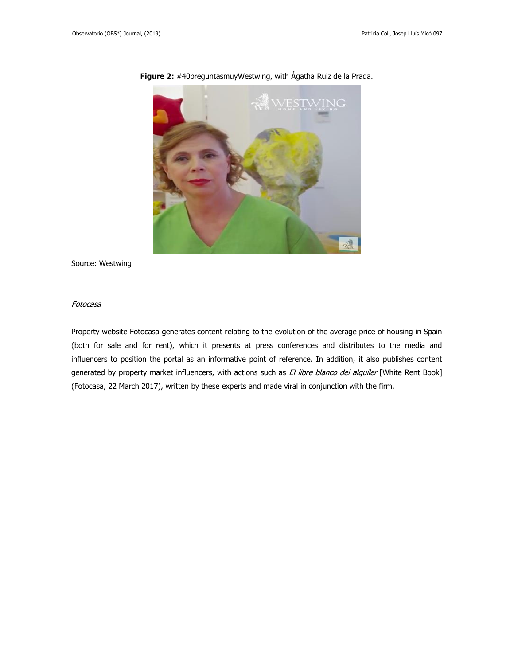

**Figure 2:** #40preguntasmuyWestwing, with Ágatha Ruiz de la Prada.

Source: Westwing

# Fotocasa

Property website Fotocasa generates content relating to the evolution of the average price of housing in Spain (both for sale and for rent), which it presents at press conferences and distributes to the media and influencers to position the portal as an informative point of reference. In addition, it also publishes content generated by property market influencers, with actions such as El libre blanco del alquiler [White Rent Book] (Fotocasa, 22 March 2017), written by these experts and made viral in conjunction with the firm.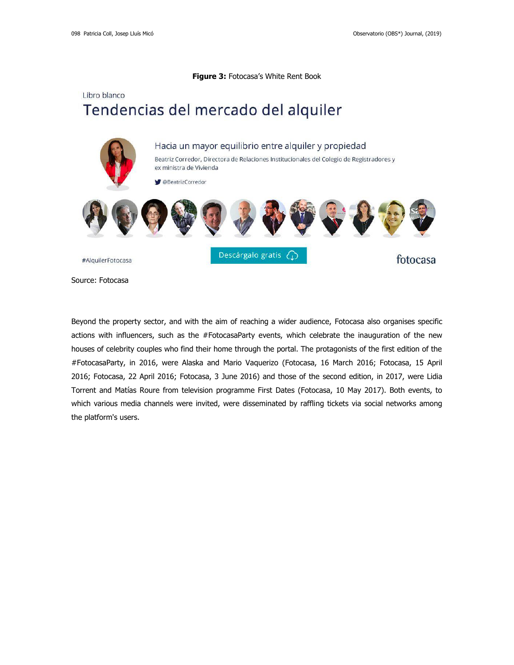# **Figure 3:** Fotocasa's White Rent Book

# Libro blanco Tendencias del mercado del alquiler



Source: Fotocasa

Beyond the property sector, and with the aim of reaching a wider audience, Fotocasa also organises specific actions with influencers, such as the #FotocasaParty events, which celebrate the inauguration of the new houses of celebrity couples who find their home through the portal. The protagonists of the first edition of the #FotocasaParty, in 2016, were Alaska and Mario Vaquerizo (Fotocasa, 16 March 2016; Fotocasa, 15 April 2016; Fotocasa, 22 April 2016; Fotocasa, 3 June 2016) and those of the second edition, in 2017, were Lidia Torrent and Matías Roure from television programme First Dates (Fotocasa, 10 May 2017). Both events, to which various media channels were invited, were disseminated by raffling tickets via social networks among the platform's users.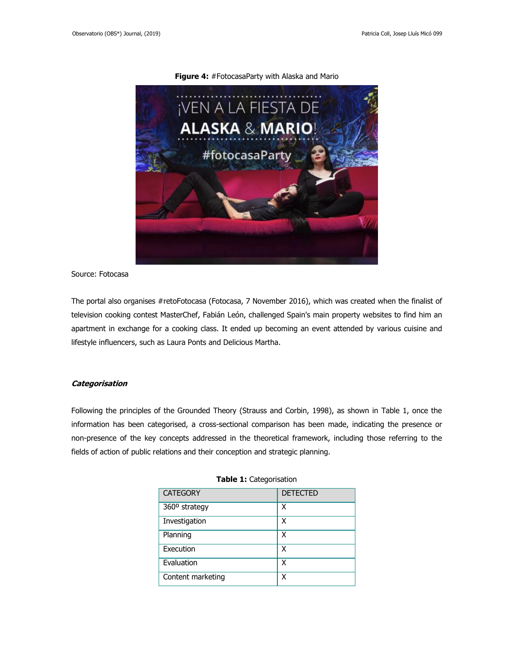

**Figure 4:** #FotocasaParty with Alaska and Mario

Source: Fotocasa

The portal also organises #retoFotocasa (Fotocasa, 7 November 2016), which was created when the finalist of television cooking contest MasterChef, Fabián León, challenged Spain's main property websites to find him an apartment in exchange for a cooking class. It ended up becoming an event attended by various cuisine and lifestyle influencers, such as Laura Ponts and Delicious Martha.

#### **Categorisation**

Following the principles of the Grounded Theory (Strauss and Corbin, 1998), as shown in Table 1, once the information has been categorised, a cross-sectional comparison has been made, indicating the presence or non-presence of the key concepts addressed in the theoretical framework, including those referring to the fields of action of public relations and their conception and strategic planning.

| <b>CATEGORY</b>   | <b>DETECTED</b> |
|-------------------|-----------------|
| 360° strategy     | χ               |
| Investigation     | χ               |
| Planning          | χ               |
| Execution         | x               |
| Evaluation        | x               |
| Content marketing | x               |

#### **Table 1:** Categorisation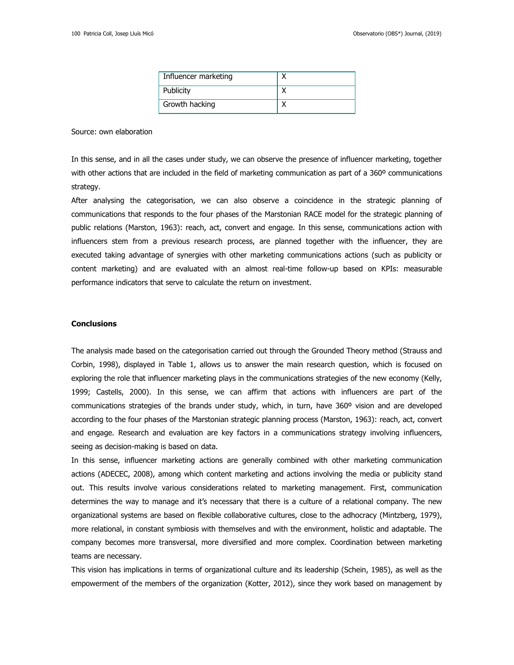| Influencer marketing |  |
|----------------------|--|
| Publicity            |  |
| Growth hacking       |  |

Source: own elaboration

In this sense, and in all the cases under study, we can observe the presence of influencer marketing, together with other actions that are included in the field of marketing communication as part of a 360° communications strategy.

After analysing the categorisation, we can also observe a coincidence in the strategic planning of communications that responds to the four phases of the Marstonian RACE model for the strategic planning of public relations (Marston, 1963): reach, act, convert and engage. In this sense, communications action with influencers stem from a previous research process, are planned together with the influencer, they are executed taking advantage of synergies with other marketing communications actions (such as publicity or content marketing) and are evaluated with an almost real-time follow-up based on KPIs: measurable performance indicators that serve to calculate the return on investment.

## **Conclusions**

The analysis made based on the categorisation carried out through the Grounded Theory method (Strauss and Corbin, 1998), displayed in Table 1, allows us to answer the main research question, which is focused on exploring the role that influencer marketing plays in the communications strategies of the new economy (Kelly, 1999; Castells, 2000). In this sense, we can affirm that actions with influencers are part of the communications strategies of the brands under study, which, in turn, have 360º vision and are developed according to the four phases of the Marstonian strategic planning process (Marston, 1963): reach, act, convert and engage. Research and evaluation are key factors in a communications strategy involving influencers, seeing as decision-making is based on data.

In this sense, influencer marketing actions are generally combined with other marketing communication actions (ADECEC, 2008), among which content marketing and actions involving the media or publicity stand out. This results involve various considerations related to marketing management. First, communication determines the way to manage and it's necessary that there is a culture of a relational company. The new organizational systems are based on flexible collaborative cultures, close to the adhocracy (Mintzberg, 1979), more relational, in constant symbiosis with themselves and with the environment, holistic and adaptable. The company becomes more transversal, more diversified and more complex. Coordination between marketing teams are necessary.

This vision has implications in terms of organizational culture and its leadership (Schein, 1985), as well as the empowerment of the members of the organization (Kotter, 2012), since they work based on management by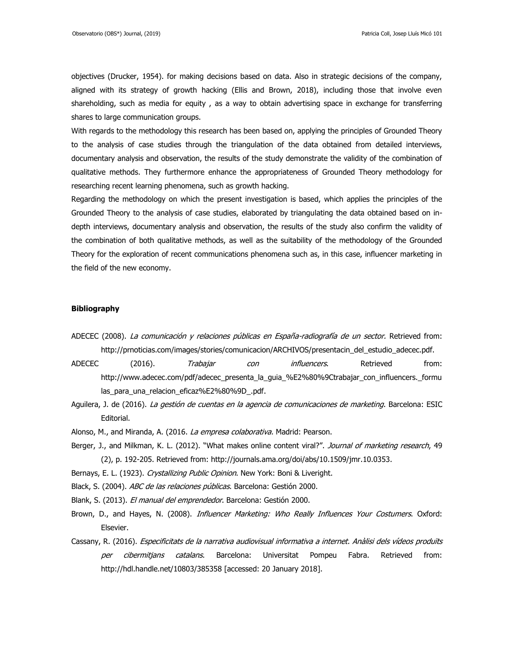objectives (Drucker, 1954). for making decisions based on data. Also in strategic decisions of the company, aligned with its strategy of growth hacking (Ellis and Brown, 2018), including those that involve even shareholding, such as media for equity , as a way to obtain advertising space in exchange for transferring shares to large communication groups.

With regards to the methodology this research has been based on, applying the principles of Grounded Theory to the analysis of case studies through the triangulation of the data obtained from detailed interviews, documentary analysis and observation, the results of the study demonstrate the validity of the combination of qualitative methods. They furthermore enhance the appropriateness of Grounded Theory methodology for researching recent learning phenomena, such as growth hacking.

Regarding the methodology on which the present investigation is based, which applies the principles of the Grounded Theory to the analysis of case studies, elaborated by triangulating the data obtained based on indepth interviews, documentary analysis and observation, the results of the study also confirm the validity of the combination of both qualitative methods, as well as the suitability of the methodology of the Grounded Theory for the exploration of recent communications phenomena such as, in this case, influencer marketing in the field of the new economy.

## **Bibliography**

- ADECEC (2008). La comunicación y relaciones públicas en España-radiografía de un sector. Retrieved from: http://prnoticias.com/images/stories/comunicacion/ARCHIVOS/presentacin\_del\_estudio\_adecec.pdf.
- ADECEC (2016). *Trabajar con influencers*. Retrieved from: http://www.adecec.com/pdf/adecec\_presenta\_la\_quia\_%E2%80%9Ctrabajar\_con\_influencers.\_formu las\_para\_una\_relacion\_eficaz%E2%80%9D\_.pdf.
- Aguilera, J. de (2016). La gestión de cuentas en la agencia de comunicaciones de marketing. Barcelona: ESIC Editorial.
- Alonso, M., and Miranda, A. (2016. La empresa colaborativa. Madrid: Pearson.
- Berger, J., and Milkman, K. L. (2012). "What makes online content viral?". Journal of marketing research, 49 (2), p. 192-205. Retrieved from: http://journals.ama.org/doi/abs/10.1509/jmr.10.0353.
- Bernays, E. L. (1923). Crystallizing Public Opinion. New York: Boni & Liveright.
- Black, S. (2004). ABC de las relaciones públicas. Barcelona: Gestión 2000.
- Blank, S. (2013). El manual del emprendedor. Barcelona: Gestión 2000.
- Brown, D., and Hayes, N. (2008). Influencer Marketing: Who Really Influences Your Costumers. Oxford: Elsevier.
- Cassany, R. (2016). Especificitats de la narrativa audiovisual informativa a internet. Anàlisi dels vídeos produïts per cibermitjans catalans. Barcelona: Universitat Pompeu Fabra. Retrieved from: http://hdl.handle.net/10803/385358 [accessed: 20 January 2018].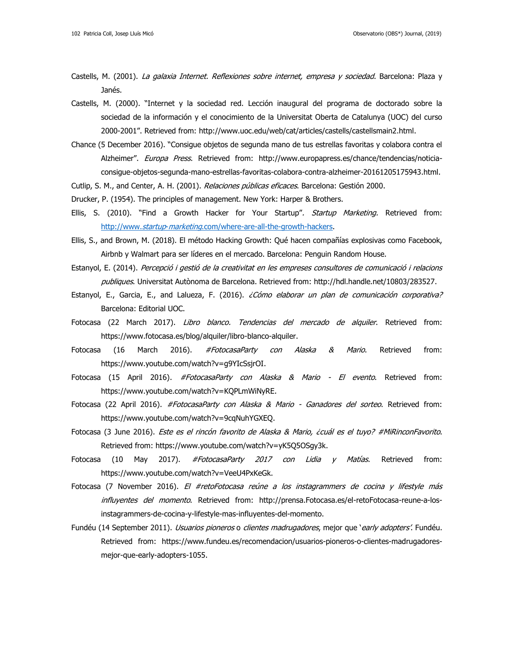- Castells, M. (2001). La galaxia Internet. Reflexiones sobre internet, empresa y sociedad. Barcelona: Plaza y Janés.
- Castells, M. (2000). "Internet y la sociedad red. Lección inaugural del programa de doctorado sobre la sociedad de la información y el conocimiento de la Universitat Oberta de Catalunya (UOC) del curso 2000-2001". Retrieved from: http://www.uoc.edu/web/cat/articles/castells/castellsmain2.html.
- Chance (5 December 2016). "Consigue objetos de segunda mano de tus estrellas favoritas y colabora contra el Alzheimer". Europa Press. Retrieved from: http://www.europapress.es/chance/tendencias/noticiaconsigue-objetos-segunda-mano-estrellas-favoritas-colabora-contra-alzheimer-20161205175943.html.
- Cutlip, S. M., and Center, A. H. (2001). Relaciones públicas eficaces. Barcelona: Gestión 2000.
- Drucker, P. (1954). The principles of management. New York: Harper & Brothers.
- Ellis, S. (2010). "Find a Growth Hacker for Your Startup". Startup Marketing. Retrieved from: http://www.startup-marketing[.com/where-are-all-the-growth-hackers.](http://www.startup-marketing.com/where-are-all-the-growth-hackers)
- Ellis, S., and Brown, M. (2018). El método Hacking Growth: Qué hacen compañías explosivas como Facebook, Airbnb y Walmart para ser líderes en el mercado. Barcelona: Penguin Random House.
- Estanyol, E. (2014). Percepció i gestió de la creativitat en les empreses consultores de comunicació i relacions publiques. Universitat Autònoma de Barcelona. Retrieved from: http://hdl.handle.net/10803/283527.
- Estanyol, E., Garcia, E., and Lalueza, F. (2016). ¿Cómo elaborar un plan de comunicación corporativa? Barcelona: Editorial UOC.
- Fotocasa (22 March 2017). Libro blanco. Tendencias del mercado de alquiler. Retrieved from: https://www.fotocasa.es/blog/alquiler/libro-blanco-alquiler.
- Fotocasa (16 March 2016). #FotocasaParty con Alaska & Mario. Retrieved from: https://www.youtube.com/watch?v=g9YIcSsjrOI.
- Fotocasa (15 April 2016). *#FotocasaParty con Alaska & Mario El evento*. Retrieved from: https://www.youtube.com/watch?v=KQPLmWiNyRE.
- Fotocasa (22 April 2016). #FotocasaParty con Alaska & Mario Ganadores del sorteo. Retrieved from: https://www.youtube.com/watch?v=9cqNuhYGXEQ.
- Fotocasa (3 June 2016). Este es el rincón favorito de Alaska & Mario, ¿cuál es el tuyo? #MiRinconFavorito. Retrieved from: https://www.youtube.com/watch?v=yK5Q5OSgy3k.
- Fotocasa (10 May 2017). *#FotocasaParty 2017 con Lidia y Matías*. Retrieved from: https://www.youtube.com/watch?v=VeeU4PxKeGk.
- Fotocasa (7 November 2016). El #retoFotocasa reúne a los instagrammers de cocina y lifestyle más influyentes del momento. Retrieved from: http://prensa.Fotocasa.es/el-retoFotocasa-reune-a-losinstagrammers-de-cocina-y-lifestyle-mas-influyentes-del-momento.
- Fundéu (14 September 2011). *Usuarios pioneros* o *clientes madrugadores*, mejor que 'early adopters'. Fundéu. Retrieved from: https://www.fundeu.es/recomendacion/usuarios-pioneros-o-clientes-madrugadoresmejor-que-early-adopters-1055.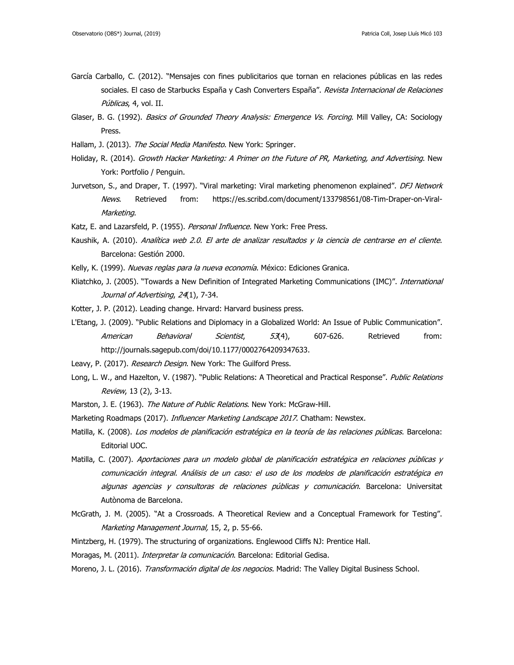- García Carballo, C. (2012). "Mensajes con fines publicitarios que tornan en relaciones públicas en las redes sociales. El caso de Starbucks España y Cash Converters España". Revista Internacional de Relaciones Públicas, 4, vol. II.
- Glaser, B. G. (1992). *Basics of Grounded Theory Analysis: Emergence Vs. Forcing*. Mill Valley, CA: Sociology Press.
- Hallam, J. (2013). The Social Media Manifesto. New York: Springer.
- Holiday, R. (2014). Growth Hacker Marketing: A Primer on the Future of PR, Marketing, and Advertising. New York: Portfolio / Penguin.
- Jurvetson, S., and Draper, T. (1997). "Viral marketing: Viral marketing phenomenon explained". *DFJ Network* News. Retrieved from: https://es.scribd.com/document/133798561/08-Tim-Draper-on-Viral-Marketing.
- Katz, E. and Lazarsfeld, P. (1955). Personal Influence. New York: Free Press.
- Kaushik, A. (2010). Analítica web 2.0. El arte de analizar resultados y la ciencia de centrarse en el cliente. Barcelona: Gestión 2000.
- Kelly, K. (1999). Nuevas reglas para la nueva economía. México: Ediciones Granica.
- Kliatchko, J. (2005). "Towards a New Definition of Integrated Marketing Communications (IMC)". *International* Journal of Advertising, 24(1), 7-34.
- Kotter, J. P. (2012). Leading change. Hrvard: Harvard business press.
- L'Etang, J. (2009). "Public Relations and Diplomacy in a Globalized World: An Issue of Public Communication". American Behavioral Scientist, 53(4), 607-626. Retrieved from: http://journals.sagepub.com/doi/10.1177/0002764209347633.
- Leavy, P. (2017). Research Design. New York: The Guilford Press.
- Long, L. W., and Hazelton, V. (1987). "Public Relations: A Theoretical and Practical Response". Public Relations Review, 13 (2), 3-13.
- Marston, J. E. (1963). The Nature of Public Relations. New York: McGraw-Hill.
- Marketing Roadmaps (2017). *Influencer Marketing Landscape 2017*. Chatham: Newstex.
- Matilla, K. (2008). Los modelos de planificación estratégica en la teoría de las relaciones públicas. Barcelona: Editorial UOC.
- Matilla, C. (2007). Aportaciones para un modelo global de planificación estratégica en relaciones públicas y comunicación integral. Análisis de un caso: el uso de los modelos de planificación estratégica en algunas agencias y consultoras de relaciones públicas y comunicación. Barcelona: Universitat Autònoma de Barcelona.
- McGrath, J. M. (2005). "At a Crossroads. A Theoretical Review and a Conceptual Framework for Testing". Marketing Management Journal, 15, 2, p. 55-66.
- Mintzberg, H. (1979). The structuring of organizations. Englewood Cliffs NJ: Prentice Hall.

Moragas, M. (2011). *Interpretar la comunicación*. Barcelona: Editorial Gedisa.

Moreno, J. L. (2016). Transformación digital de los negocios. Madrid: The Valley Digital Business School.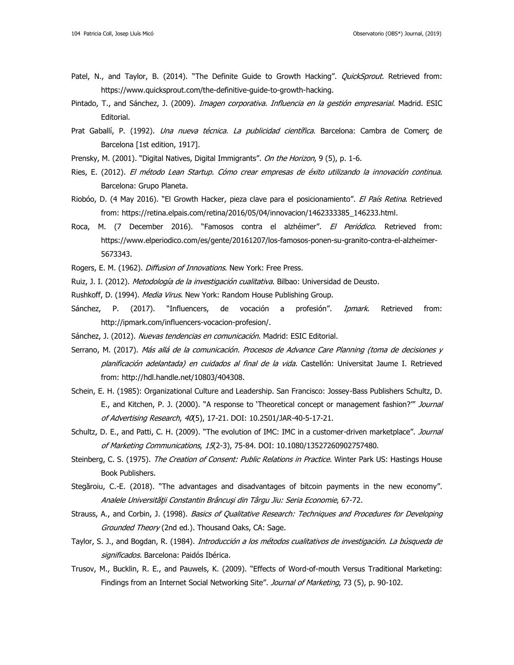- Patel, N., and Taylor, B. (2014). "The Definite Guide to Growth Hacking". *QuickSprout*. Retrieved from: https://www.quicksprout.com/the-definitive-guide-to-growth-hacking.
- Pintado, T., and Sánchez, J. (2009). *Imagen corporativa. Influencia en la gestión empresarial*. Madrid. ESIC Editorial.
- Prat Gaballí, P. (1992). *Una nueva técnica. La publicidad científica*. Barcelona: Cambra de Comerc de Barcelona [1st edition, 1917].
- Prensky, M. (2001). "Digital Natives, Digital Immigrants". On the Horizon, 9 (5), p. 1-6.
- Ries, E. (2012). El método Lean Startup. Cómo crear empresas de éxito utilizando la innovación continua. Barcelona: Grupo Planeta.
- Riobóo, D. (4 May 2016). "El Growth Hacker, pieza clave para el posicionamiento". El País Retina. Retrieved from: https://retina.elpais.com/retina/2016/05/04/innovacion/1462333385\_146233.html.
- Roca, M. (7 December 2016). "Famosos contra el alzhéimer". El Periódico. Retrieved from: https://www.elperiodico.com/es/gente/20161207/los-famosos-ponen-su-granito-contra-el-alzheimer-5673343.
- Rogers, E. M. (1962). *Diffusion of Innovations*. New York: Free Press.
- Ruiz, J. I. (2012). Metodología de la investigación cualitativa. Bilbao: Universidad de Deusto.
- Rushkoff, D. (1994). Media Virus. New York: Random House Publishing Group.
- Sánchez, P. (2017). "Influencers, de vocación a profesión". *Ipmark*. Retrieved from: http://ipmark.com/influencers-vocacion-profesion/.
- Sánchez, J. (2012). Nuevas tendencias en comunicación. Madrid: ESIC Editorial.
- Serrano, M. (2017). Más allá de la comunicación. Procesos de Advance Care Planning (toma de decisiones y planificación adelantada) en cuidados al final de la vida. Castellón: Universitat Jaume I. Retrieved from: http://hdl.handle.net/10803/404308.
- Schein, E. H. (1985): Organizational Culture and Leadership. San Francisco: Jossey-Bass Publishers Schultz, D. E., and Kitchen, P. J. (2000). "A response to 'Theoretical concept or management fashion?"" Journal of Advertising Research, 40(5), 17-21. DOI: 10.2501/JAR-40-5-17-21.
- Schultz, D. E., and Patti, C. H. (2009). "The evolution of IMC: IMC in a customer-driven marketplace". *Journal* of Marketing Communications, 15(2-3), 75-84. DOI: 10.1080/13527260902757480.
- Steinberg, C. S. (1975). The Creation of Consent: Public Relations in Practice. Winter Park US: Hastings House Book Publishers.
- Stegăroiu, C.-E. (2018). "The advantages and disadvantages of bitcoin payments in the new economy". Analele Universităţii Constantin Brâncuşi din Târgu Jiu: Seria Economie, 67-72.
- Strauss, A., and Corbin, J. (1998). *Basics of Qualitative Research: Techniques and Procedures for Developing* Grounded Theory (2nd ed.). Thousand Oaks, CA: Sage.
- Taylor, S. J., and Bogdan, R. (1984). Introducción a los métodos cualitativos de investigación. La búsqueda de significados. Barcelona: Paidós Ibérica.
- Trusov, M., Bucklin, R. E., and Pauwels, K. (2009). "Effects of Word-of-mouth Versus Traditional Marketing: Findings from an Internet Social Networking Site". Journal of Marketing, 73 (5), p. 90-102.